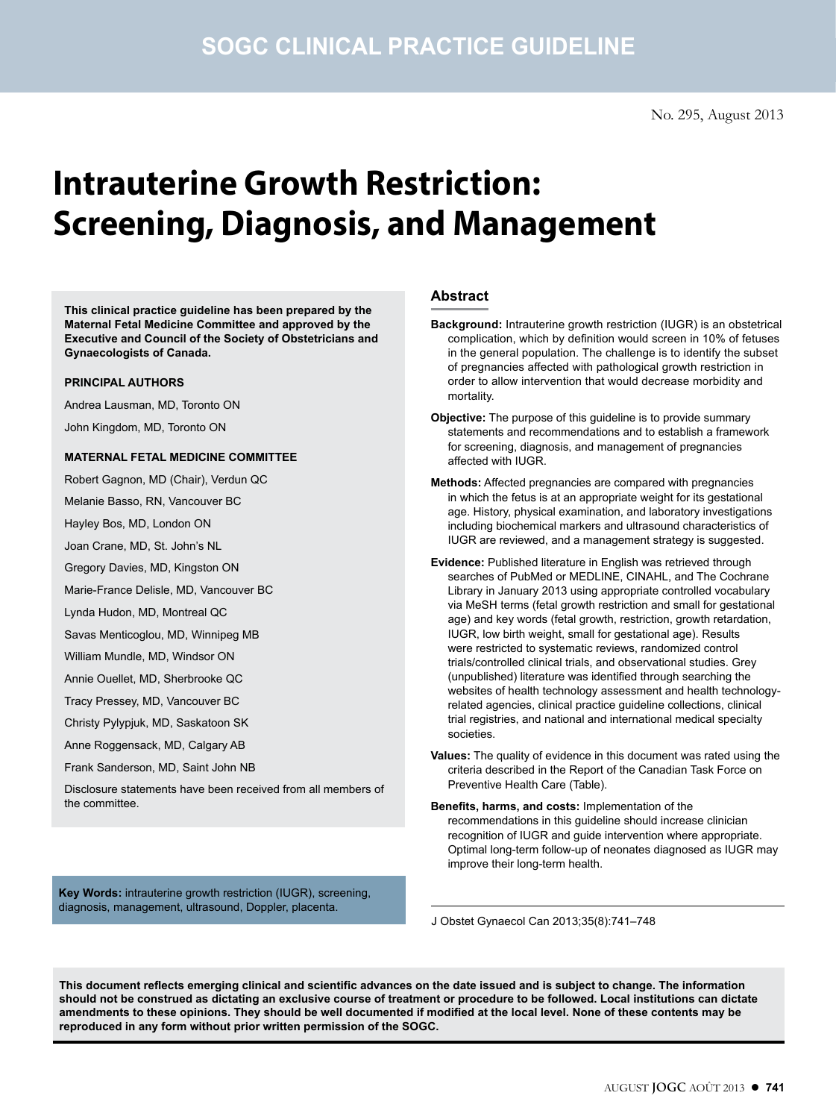# **Intrauterine Growth Restriction: Screening, Diagnosis, and Management**

**This clinical practice guideline has been prepared by the Maternal Fetal Medicine Committee and approved by the Executive and Council of the Society of Obstetricians and Gynaecologists of Canada.**

#### **PRINCIPAL AUTHORS**

Andrea Lausman, MD, Toronto ON

John Kingdom, MD, Toronto ON

#### **MATERNAL FETAL MEDICINE COMMITTEE**

Robert Gagnon, MD (Chair), Verdun QC

Melanie Basso, RN, Vancouver BC

Hayley Bos, MD, London ON

Joan Crane, MD, St. John's NL

Gregory Davies, MD, Kingston ON

Marie-France Delisle, MD, Vancouver BC

Lynda Hudon, MD, Montreal QC

Savas Menticoglou, MD, Winnipeg MB

William Mundle, MD, Windsor ON

Annie Ouellet, MD, Sherbrooke QC

Tracy Pressey, MD, Vancouver BC

Christy Pylypjuk, MD, Saskatoon SK

Anne Roggensack, MD, Calgary AB

Frank Sanderson, MD, Saint John NB

Disclosure statements have been received from all members of the committee.

**Key Words:** intrauterine growth restriction (IUGR), screening, diagnosis, management, ultrasound, Doppler, placenta.

#### **Abstract**

- **Background:** Intrauterine growth restriction (IUGR) is an obstetrical complication, which by definition would screen in 10% of fetuses in the general population. The challenge is to identify the subset of pregnancies affected with pathological growth restriction in order to allow intervention that would decrease morbidity and mortality.
- **Objective:** The purpose of this guideline is to provide summary statements and recommendations and to establish a framework for screening, diagnosis, and management of pregnancies affected with IUGR.
- **Methods:** Affected pregnancies are compared with pregnancies in which the fetus is at an appropriate weight for its gestational age. History, physical examination, and laboratory investigations including biochemical markers and ultrasound characteristics of IUGR are reviewed, and a management strategy is suggested.
- **Evidence:** Published literature in English was retrieved through searches of PubMed or MEDLINE, CINAHL, and The Cochrane Library in January 2013 using appropriate controlled vocabulary via MeSH terms (fetal growth restriction and small for gestational age) and key words (fetal growth, restriction, growth retardation, IUGR, low birth weight, small for gestational age). Results were restricted to systematic reviews, randomized control trials/controlled clinical trials, and observational studies. Grey (unpublished) literature was identified through searching the websites of health technology assessment and health technologyrelated agencies, clinical practice guideline collections, clinical trial registries, and national and international medical specialty societies.
- **Values:** The quality of evidence in this document was rated using the criteria described in the Report of the Canadian Task Force on Preventive Health Care (Table).
- **Benefits, harms, and costs:** Implementation of the recommendations in this guideline should increase clinician recognition of IUGR and guide intervention where appropriate. Optimal long-term follow-up of neonates diagnosed as IUGR may improve their long-term health.

J Obstet Gynaecol Can 2013;35(8):741–748

**This document reflects emerging clinical and scientific advances on the date issued and is subject to change. The information should not be construed as dictating an exclusive course of treatment or procedure to be followed. Local institutions can dictate amendments to these opinions. They should be well documented if modified at the local level. None of these contents may be reproduced in any form without prior written permission of the SOGC.**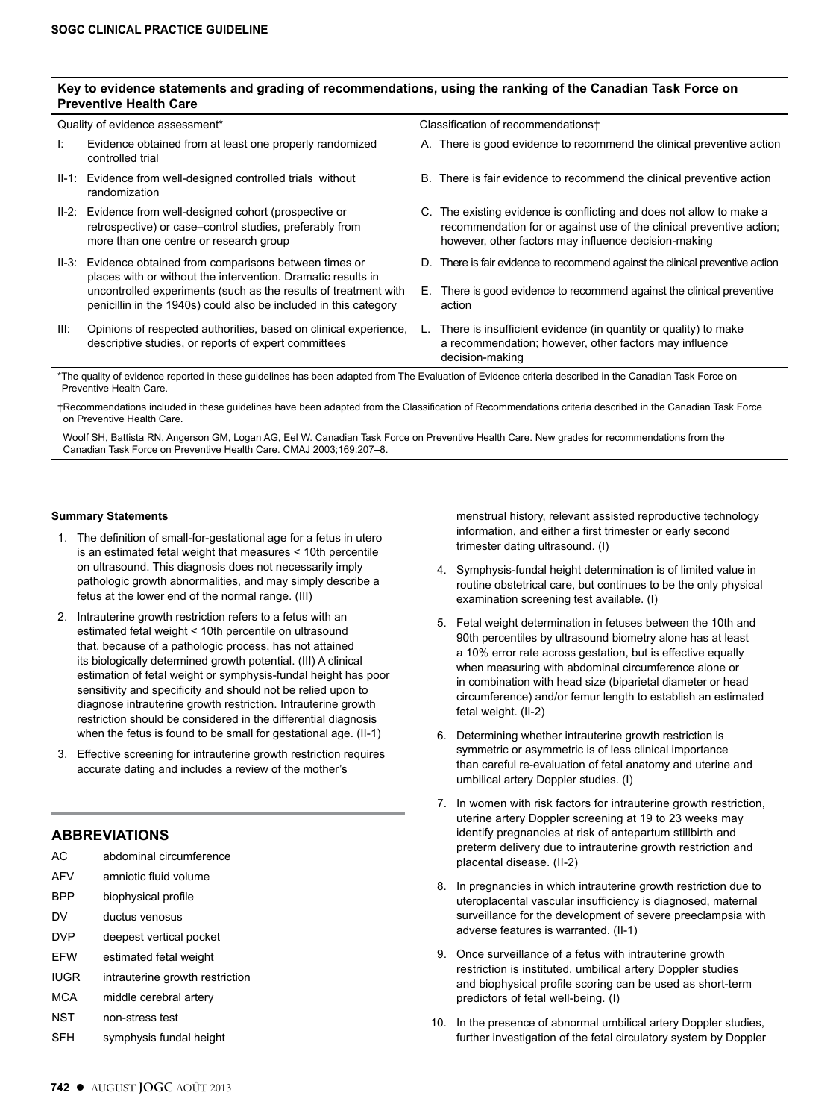#### **Key to evidence statements and grading of recommendations, using the ranking of the Canadian Task Force on Preventive Health Care**

| Quality of evidence assessment*                                                                                                                         |                                                                                                                                                               |    | Classification of recommendations+                                                                                                                                                                   |  |
|---------------------------------------------------------------------------------------------------------------------------------------------------------|---------------------------------------------------------------------------------------------------------------------------------------------------------------|----|------------------------------------------------------------------------------------------------------------------------------------------------------------------------------------------------------|--|
| Ŀ.                                                                                                                                                      | Evidence obtained from at least one properly randomized<br>controlled trial                                                                                   |    | A. There is good evidence to recommend the clinical preventive action                                                                                                                                |  |
|                                                                                                                                                         | II-1: Evidence from well-designed controlled trials without<br>randomization                                                                                  |    | B. There is fair evidence to recommend the clinical preventive action                                                                                                                                |  |
|                                                                                                                                                         | II-2: Evidence from well-designed cohort (prospective or<br>retrospective) or case–control studies, preferably from<br>more than one centre or research group |    | C. The existing evidence is conflicting and does not allow to make a<br>recommendation for or against use of the clinical preventive action;<br>however, other factors may influence decision-making |  |
|                                                                                                                                                         | II-3: Evidence obtained from comparisons between times or<br>places with or without the intervention. Dramatic results in                                     |    | D. There is fair evidence to recommend against the clinical preventive action                                                                                                                        |  |
|                                                                                                                                                         | uncontrolled experiments (such as the results of treatment with<br>penicillin in the 1940s) could also be included in this category                           | Е. | There is good evidence to recommend against the clinical preventive<br>action                                                                                                                        |  |
| III:                                                                                                                                                    | Opinions of respected authorities, based on clinical experience,<br>descriptive studies, or reports of expert committees                                      |    | There is insufficient evidence (in quantity or quality) to make<br>a recommendation; however, other factors may influence<br>decision-making                                                         |  |
| *The quality of evidence reported in these quidelines has been adapted from The Evaluation of Evidence criteria described in the Canadian Task Eorce on |                                                                                                                                                               |    |                                                                                                                                                                                                      |  |

\*The quality of evidence reported in these guidelines has been adapted from The Evaluation of Evidence criteria described in the Canadian Task Force on Preventive Health Care.

†Recommendations included in these guidelines have been adapted from the Classification of Recommendations criteria described in the Canadian Task Force on Preventive Health Care.

Woolf SH, Battista RN, Angerson GM, Logan AG, Eel W. Canadian Task Force on Preventive Health Care. New grades for recommendations from the Canadian Task Force on Preventive Health Care. CMAJ 2003;169:207–8.

#### **Summary Statements**

- 01. The definition of small-for-gestational age for a fetus in utero is an estimated fetal weight that measures < 10th percentile on ultrasound. This diagnosis does not necessarily imply pathologic growth abnormalities, and may simply describe a fetus at the lower end of the normal range. (III)
- 2. Intrauterine growth restriction refers to a fetus with an estimated fetal weight < 10th percentile on ultrasound that, because of a pathologic process, has not attained its biologically determined growth potential. (III) A clinical estimation of fetal weight or symphysis-fundal height has poor sensitivity and specificity and should not be relied upon to diagnose intrauterine growth restriction. Intrauterine growth restriction should be considered in the differential diagnosis when the fetus is found to be small for gestational age. (II-1)
- 03. Effective screening for intrauterine growth restriction requires accurate dating and includes a review of the mother's

#### **ABBREVIATIONS**

- AC abdominal circumference
- AFV amniotic fluid volume
- BPP biophysical profile
- DV ductus venosus
- DVP deepest vertical pocket
- EFW estimated fetal weight
- IUGR intrauterine growth restriction
- MCA middle cerebral artery
- NST non-stress test
- SFH symphysis fundal height

menstrual history, relevant assisted reproductive technology information, and either a first trimester or early second trimester dating ultrasound. (I)

- 4. Symphysis-fundal height determination is of limited value in routine obstetrical care, but continues to be the only physical examination screening test available. (I)
- 05. Fetal weight determination in fetuses between the 10th and 90th percentiles by ultrasound biometry alone has at least a 10% error rate across gestation, but is effective equally when measuring with abdominal circumference alone or in combination with head size (biparietal diameter or head circumference) and/or femur length to establish an estimated fetal weight. (II-2)
- 06. Determining whether intrauterine growth restriction is symmetric or asymmetric is of less clinical importance than careful re-evaluation of fetal anatomy and uterine and umbilical artery Doppler studies. (I)
- 7. In women with risk factors for intrauterine growth restriction, uterine artery Doppler screening at 19 to 23 weeks may identify pregnancies at risk of antepartum stillbirth and preterm delivery due to intrauterine growth restriction and placental disease. (II-2)
- 08. In pregnancies in which intrauterine growth restriction due to uteroplacental vascular insufficiency is diagnosed, maternal surveillance for the development of severe preeclampsia with adverse features is warranted. (II-1)
- 9. Once surveillance of a fetus with intrauterine growth restriction is instituted, umbilical artery Doppler studies and biophysical profile scoring can be used as short-term predictors of fetal well-being. (I)
- 10. In the presence of abnormal umbilical artery Doppler studies, further investigation of the fetal circulatory system by Doppler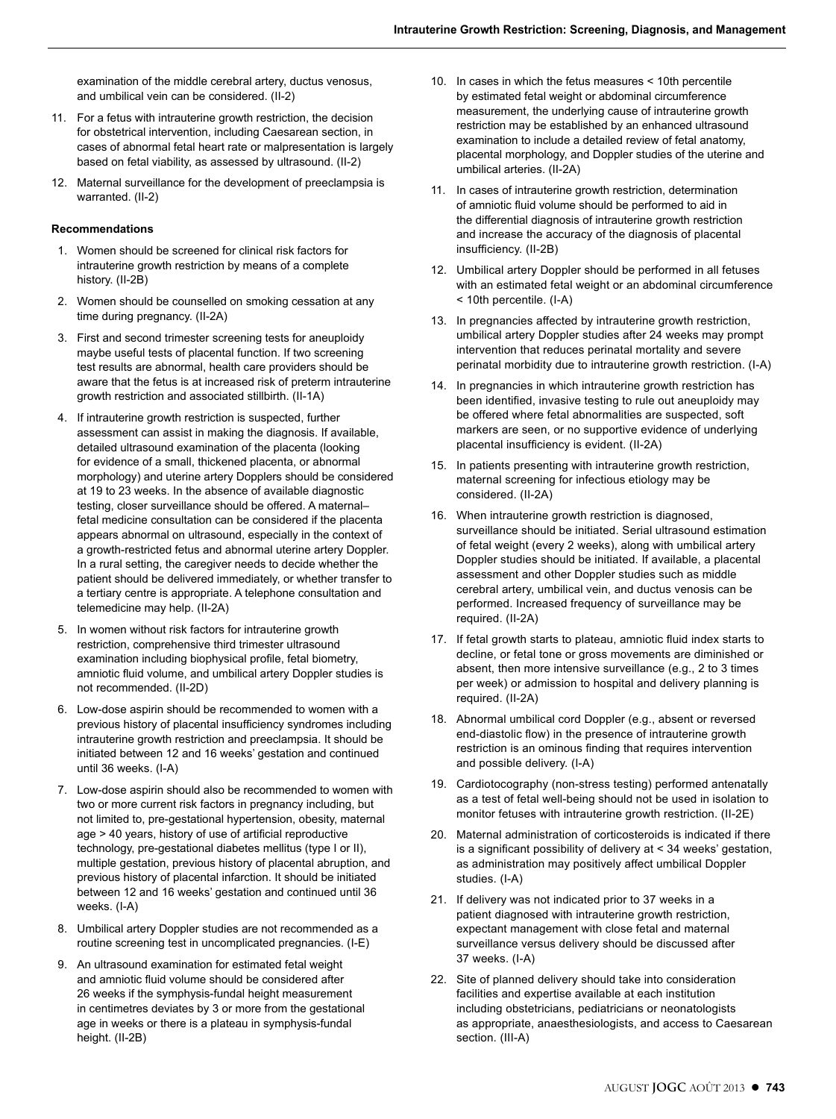examination of the middle cerebral artery, ductus venosus, and umbilical vein can be considered. (II-2)

- 11. For a fetus with intrauterine growth restriction, the decision for obstetrical intervention, including Caesarean section, in cases of abnormal fetal heart rate or malpresentation is largely based on fetal viability, as assessed by ultrasound. (II-2)
- 12. Maternal surveillance for the development of preeclampsia is warranted. (II-2)

#### **Recommendations**

- 1. Women should be screened for clinical risk factors for intrauterine growth restriction by means of a complete history. (II-2B)
- 2. Women should be counselled on smoking cessation at any time during pregnancy. (II-2A)
- 03. First and second trimester screening tests for aneuploidy maybe useful tests of placental function. If two screening test results are abnormal, health care providers should be aware that the fetus is at increased risk of preterm intrauterine growth restriction and associated stillbirth. (II-1A)
- 4. If intrauterine growth restriction is suspected, further assessment can assist in making the diagnosis. If available, detailed ultrasound examination of the placenta (looking for evidence of a small, thickened placenta, or abnormal morphology) and uterine artery Dopplers should be considered at 19 to 23 weeks. In the absence of available diagnostic testing, closer surveillance should be offered. A maternal– fetal medicine consultation can be considered if the placenta appears abnormal on ultrasound, especially in the context of a growth-restricted fetus and abnormal uterine artery Doppler. In a rural setting, the caregiver needs to decide whether the patient should be delivered immediately, or whether transfer to a tertiary centre is appropriate. A telephone consultation and telemedicine may help. (II-2A)
- 05. In women without risk factors for intrauterine growth restriction, comprehensive third trimester ultrasound examination including biophysical profile, fetal biometry, amniotic fluid volume, and umbilical artery Doppler studies is not recommended. (II-2D)
- 06. Low-dose aspirin should be recommended to women with a previous history of placental insufficiency syndromes including intrauterine growth restriction and preeclampsia. It should be initiated between 12 and 16 weeks' gestation and continued until 36 weeks. (I-A)
- 7. Low-dose aspirin should also be recommended to women with two or more current risk factors in pregnancy including, but not limited to, pre-gestational hypertension, obesity, maternal age > 40 years, history of use of artificial reproductive technology, pre-gestational diabetes mellitus (type I or II), multiple gestation, previous history of placental abruption, and previous history of placental infarction. It should be initiated between 12 and 16 weeks' gestation and continued until 36 weeks. (I-A)
- 8. Umbilical artery Doppler studies are not recommended as a routine screening test in uncomplicated pregnancies. (I-E)
- 9. An ultrasound examination for estimated fetal weight and amniotic fluid volume should be considered after 26 weeks if the symphysis-fundal height measurement in centimetres deviates by 3 or more from the gestational age in weeks or there is a plateau in symphysis-fundal height. (II-2B)
- 10. In cases in which the fetus measures < 10th percentile by estimated fetal weight or abdominal circumference measurement, the underlying cause of intrauterine growth restriction may be established by an enhanced ultrasound examination to include a detailed review of fetal anatomy, placental morphology, and Doppler studies of the uterine and umbilical arteries. (II-2A)
- 11. In cases of intrauterine growth restriction, determination of amniotic fluid volume should be performed to aid in the differential diagnosis of intrauterine growth restriction and increase the accuracy of the diagnosis of placental insufficiency. (II-2B)
- 12. Umbilical artery Doppler should be performed in all fetuses with an estimated fetal weight or an abdominal circumference < 10th percentile. (I-A)
- 13. In pregnancies affected by intrauterine growth restriction, umbilical artery Doppler studies after 24 weeks may prompt intervention that reduces perinatal mortality and severe perinatal morbidity due to intrauterine growth restriction. (I-A)
- 14. In pregnancies in which intrauterine growth restriction has been identified, invasive testing to rule out aneuploidy may be offered where fetal abnormalities are suspected, soft markers are seen, or no supportive evidence of underlying placental insufficiency is evident. (II-2A)
- 15. In patients presenting with intrauterine growth restriction, maternal screening for infectious etiology may be considered. (II-2A)
- 16. When intrauterine growth restriction is diagnosed, surveillance should be initiated. Serial ultrasound estimation of fetal weight (every 2 weeks), along with umbilical artery Doppler studies should be initiated. If available, a placental assessment and other Doppler studies such as middle cerebral artery, umbilical vein, and ductus venosis can be performed. Increased frequency of surveillance may be required. (II-2A)
- 17. If fetal growth starts to plateau, amniotic fluid index starts to decline, or fetal tone or gross movements are diminished or absent, then more intensive surveillance (e.g., 2 to 3 times per week) or admission to hospital and delivery planning is required. (II-2A)
- 18. Abnormal umbilical cord Doppler (e.g., absent or reversed end-diastolic flow) in the presence of intrauterine growth restriction is an ominous finding that requires intervention and possible delivery. (I-A)
- 19. Cardiotocography (non-stress testing) performed antenatally as a test of fetal well-being should not be used in isolation to monitor fetuses with intrauterine growth restriction. (II-2E)
- 20. Maternal administration of corticosteroids is indicated if there is a significant possibility of delivery at < 34 weeks' gestation, as administration may positively affect umbilical Doppler studies. (I-A)
- 21. If delivery was not indicated prior to 37 weeks in a patient diagnosed with intrauterine growth restriction, expectant management with close fetal and maternal surveillance versus delivery should be discussed after 37 weeks. (I-A)
- 22. Site of planned delivery should take into consideration facilities and expertise available at each institution including obstetricians, pediatricians or neonatologists as appropriate, anaesthesiologists, and access to Caesarean section. (III-A)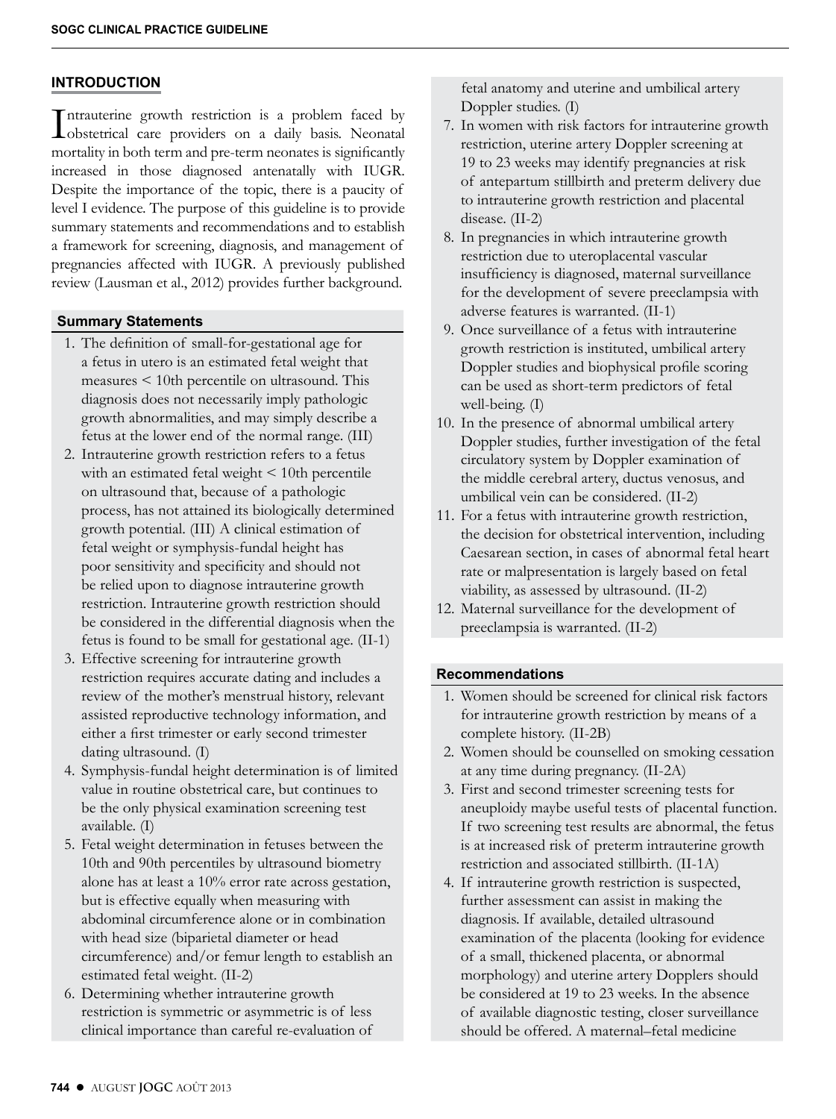## **INTRODUCTION**

Intrauterine growth restriction is a problem faced by obstetrical care providers on a daily basis. Neonatal Lobstetrical care providers on a daily basis. Neonatal mortality in both term and pre-term neonates is significantly increased in those diagnosed antenatally with IUGR. Despite the importance of the topic, there is a paucity of level I evidence. The purpose of this guideline is to provide summary statements and recommendations and to establish a framework for screening, diagnosis, and management of pregnancies affected with IUGR. A previously published review (Lausman et al., 2012) provides further background.

## **Summary Statements**

- 1. The definition of small-for-gestational age for a fetus in utero is an estimated fetal weight that measures < 10th percentile on ultrasound. This diagnosis does not necessarily imply pathologic growth abnormalities, and may simply describe a fetus at the lower end of the normal range. (III)
- 2. Intrauterine growth restriction refers to a fetus with an estimated fetal weight < 10th percentile on ultrasound that, because of a pathologic process, has not attained its biologically determined growth potential. (III) A clinical estimation of fetal weight or symphysis-fundal height has poor sensitivity and specificity and should not be relied upon to diagnose intrauterine growth restriction. Intrauterine growth restriction should be considered in the differential diagnosis when the fetus is found to be small for gestational age. (II-1)
- 3. Effective screening for intrauterine growth restriction requires accurate dating and includes a review of the mother's menstrual history, relevant assisted reproductive technology information, and either a first trimester or early second trimester dating ultrasound. (I)
- 4. Symphysis-fundal height determination is of limited value in routine obstetrical care, but continues to be the only physical examination screening test available. (I)
- 5. Fetal weight determination in fetuses between the 10th and 90th percentiles by ultrasound biometry alone has at least a 10% error rate across gestation, but is effective equally when measuring with abdominal circumference alone or in combination with head size (biparietal diameter or head circumference) and/or femur length to establish an estimated fetal weight. (II-2)
- 6. Determining whether intrauterine growth restriction is symmetric or asymmetric is of less clinical importance than careful re-evaluation of

 fetal anatomy and uterine and umbilical artery Doppler studies. (I)

- 7. In women with risk factors for intrauterine growth restriction, uterine artery Doppler screening at 19 to 23 weeks may identify pregnancies at risk of antepartum stillbirth and preterm delivery due to intrauterine growth restriction and placental disease. (II-2)
- 8. In pregnancies in which intrauterine growth restriction due to uteroplacental vascular insufficiency is diagnosed, maternal surveillance for the development of severe preeclampsia with adverse features is warranted. (II-1)
- 9. Once surveillance of a fetus with intrauterine growth restriction is instituted, umbilical artery Doppler studies and biophysical profile scoring can be used as short-term predictors of fetal well-being. (I)
- 10. In the presence of abnormal umbilical artery Doppler studies, further investigation of the fetal circulatory system by Doppler examination of the middle cerebral artery, ductus venosus, and umbilical vein can be considered. (II-2)
- 11. For a fetus with intrauterine growth restriction, the decision for obstetrical intervention, including Caesarean section, in cases of abnormal fetal heart rate or malpresentation is largely based on fetal viability, as assessed by ultrasound. (II-2)
- 12. Maternal surveillance for the development of preeclampsia is warranted. (II-2)

#### **Recommendations**

- 1. Women should be screened for clinical risk factors for intrauterine growth restriction by means of a complete history. (II-2B)
- 2. Women should be counselled on smoking cessation at any time during pregnancy. (II-2A)
- 3. First and second trimester screening tests for aneuploidy maybe useful tests of placental function. If two screening test results are abnormal, the fetus is at increased risk of preterm intrauterine growth restriction and associated stillbirth. (II-1A)
- 4. If intrauterine growth restriction is suspected, further assessment can assist in making the diagnosis. If available, detailed ultrasound examination of the placenta (looking for evidence of a small, thickened placenta, or abnormal morphology) and uterine artery Dopplers should be considered at 19 to 23 weeks. In the absence of available diagnostic testing, closer surveillance should be offered. A maternal–fetal medicine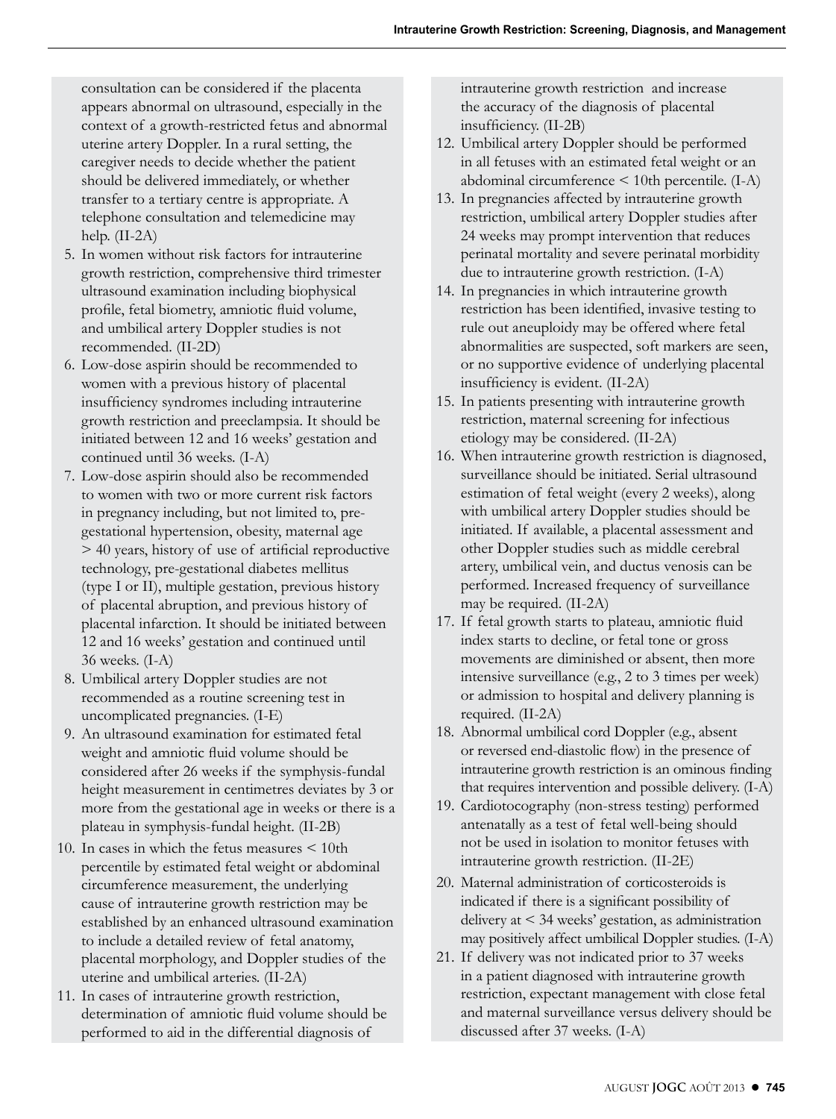consultation can be considered if the placenta appears abnormal on ultrasound, especially in the context of a growth-restricted fetus and abnormal uterine artery Doppler. In a rural setting, the caregiver needs to decide whether the patient should be delivered immediately, or whether transfer to a tertiary centre is appropriate. A telephone consultation and telemedicine may help. (II-2A)

- 5. In women without risk factors for intrauterine growth restriction, comprehensive third trimester ultrasound examination including biophysical profile, fetal biometry, amniotic fluid volume, and umbilical artery Doppler studies is not recommended. (II-2D)
- 6. Low-dose aspirin should be recommended to women with a previous history of placental insufficiency syndromes including intrauterine growth restriction and preeclampsia. It should be initiated between 12 and 16 weeks' gestation and continued until 36 weeks. (I-A)
- 7. Low-dose aspirin should also be recommended to women with two or more current risk factors in pregnancy including, but not limited to, pregestational hypertension, obesity, maternal age > 40 years, history of use of artificial reproductive technology, pre-gestational diabetes mellitus (type I or II), multiple gestation, previous history of placental abruption, and previous history of placental infarction. It should be initiated between 12 and 16 weeks' gestation and continued until 36 weeks. (I-A)
- 8. Umbilical artery Doppler studies are not recommended as a routine screening test in uncomplicated pregnancies. (I-E)
- 9. An ultrasound examination for estimated fetal weight and amniotic fluid volume should be considered after 26 weeks if the symphysis-fundal height measurement in centimetres deviates by 3 or more from the gestational age in weeks or there is a plateau in symphysis-fundal height. (II-2B)
- 10. In cases in which the fetus measures < 10th percentile by estimated fetal weight or abdominal circumference measurement, the underlying cause of intrauterine growth restriction may be established by an enhanced ultrasound examination to include a detailed review of fetal anatomy, placental morphology, and Doppler studies of the uterine and umbilical arteries. (II-2A)
- 11. In cases of intrauterine growth restriction, determination of amniotic fluid volume should be performed to aid in the differential diagnosis of

intrauterine growth restriction and increase the accuracy of the diagnosis of placental insufficiency. (II-2B)

- 12. Umbilical artery Doppler should be performed in all fetuses with an estimated fetal weight or an abdominal circumference < 10th percentile. (I-A)
- 13. In pregnancies affected by intrauterine growth restriction, umbilical artery Doppler studies after 24 weeks may prompt intervention that reduces perinatal mortality and severe perinatal morbidity due to intrauterine growth restriction. (I-A)
- 14. In pregnancies in which intrauterine growth restriction has been identified, invasive testing to rule out aneuploidy may be offered where fetal abnormalities are suspected, soft markers are seen, or no supportive evidence of underlying placental insufficiency is evident. (II-2A)
- 15. In patients presenting with intrauterine growth restriction, maternal screening for infectious etiology may be considered. (II-2A)
- 16. When intrauterine growth restriction is diagnosed, surveillance should be initiated. Serial ultrasound estimation of fetal weight (every 2 weeks), along with umbilical artery Doppler studies should be initiated. If available, a placental assessment and other Doppler studies such as middle cerebral artery, umbilical vein, and ductus venosis can be performed. Increased frequency of surveillance may be required. (II-2A)
- 17. If fetal growth starts to plateau, amniotic fluid index starts to decline, or fetal tone or gross movements are diminished or absent, then more intensive surveillance (e.g., 2 to 3 times per week) or admission to hospital and delivery planning is required. (II-2A)
- 18. Abnormal umbilical cord Doppler (e.g., absent or reversed end-diastolic flow) in the presence of intrauterine growth restriction is an ominous finding that requires intervention and possible delivery. (I-A)
- 19. Cardiotocography (non-stress testing) performed antenatally as a test of fetal well-being should not be used in isolation to monitor fetuses with intrauterine growth restriction. (II-2E)
- 20. Maternal administration of corticosteroids is indicated if there is a significant possibility of delivery at < 34 weeks' gestation, as administration may positively affect umbilical Doppler studies. (I-A)
- 21. If delivery was not indicated prior to 37 weeks in a patient diagnosed with intrauterine growth restriction, expectant management with close fetal and maternal surveillance versus delivery should be discussed after 37 weeks. (I-A)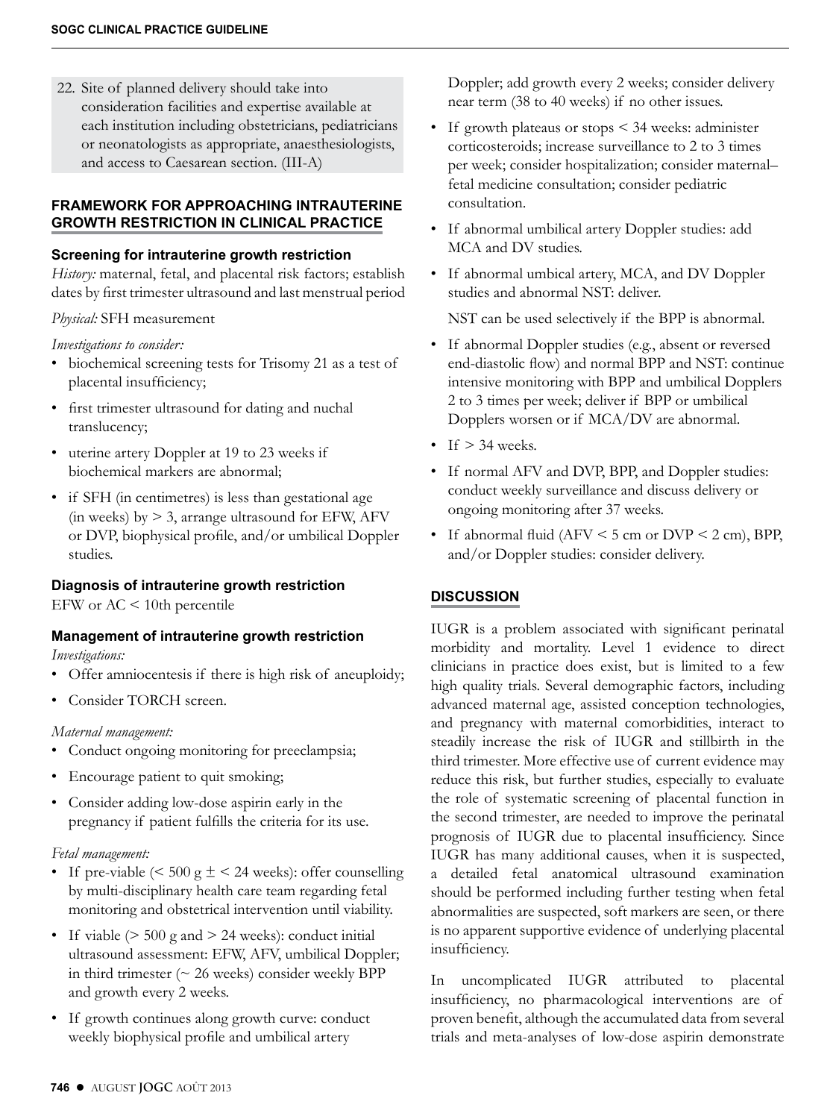22. Site of planned delivery should take into consideration facilities and expertise available at each institution including obstetricians, pediatricians or neonatologists as appropriate, anaesthesiologists, and access to Caesarean section. (III-A)

## **Framework for Approaching Intrauterine Growth Restriction in Clinical Practice**

## **Screening for intrauterine growth restriction**

*History:* maternal, fetal, and placental risk factors; establish dates by first trimester ultrasound and last menstrual period

## *Physical:* SFH measurement

## *Investigations to consider:*

- biochemical screening tests for Trisomy 21 as a test of placental insufficiency;
- first trimester ultrasound for dating and nuchal translucency;
- uterine artery Doppler at 19 to 23 weeks if biochemical markers are abnormal;
- if SFH (in centimetres) is less than gestational age (in weeks) by  $> 3$ , arrange ultrasound for EFW, AFV or DVP, biophysical profile, and/or umbilical Doppler studies.

## **Diagnosis of intrauterine growth restriction**

EFW or AC < 10th percentile

# **Management of intrauterine growth restriction**

*Investigations:* 

- Offer amniocentesis if there is high risk of aneuploidy;
- Consider TORCH screen.

*Maternal management:* 

- Conduct ongoing monitoring for preeclampsia;
- Encourage patient to quit smoking;
- Consider adding low-dose aspirin early in the pregnancy if patient fulfills the criteria for its use.

#### *Fetal management:*

- If pre-viable  $(< 500 \text{ g} \pm < 24 \text{ weeks})$ : offer counselling by multi-disciplinary health care team regarding fetal monitoring and obstetrical intervention until viability.
- If viable  $(> 500 \text{ g and } > 24 \text{ weeks})$ : conduct initial ultrasound assessment: EFW, AFV, umbilical Doppler; in third trimester  $( \sim 26$  weeks) consider weekly BPP and growth every 2 weeks.
- If growth continues along growth curve: conduct weekly biophysical profile and umbilical artery

Doppler; add growth every 2 weeks; consider delivery near term (38 to 40 weeks) if no other issues.

- If growth plateaus or stops < 34 weeks: administer corticosteroids; increase surveillance to 2 to 3 times per week; consider hospitalization; consider maternal– fetal medicine consultation; consider pediatric consultation.
- If abnormal umbilical artery Doppler studies: add MCA and DV studies.
- If abnormal umbical artery, MCA, and DV Doppler studies and abnormal NST: deliver.

NST can be used selectively if the BPP is abnormal.

- If abnormal Doppler studies (e.g., absent or reversed end-diastolic flow) and normal BPP and NST: continue intensive monitoring with BPP and umbilical Dopplers 2 to 3 times per week; deliver if BPP or umbilical Dopplers worsen or if MCA/DV are abnormal.
- If  $> 34$  weeks.
- If normal AFV and DVP, BPP, and Doppler studies: conduct weekly surveillance and discuss delivery or ongoing monitoring after 37 weeks.
- If abnormal fluid ( $AFV < 5$  cm or  $DVP < 2$  cm), BPP, and/or Doppler studies: consider delivery.

# **DISCUSSION**

IUGR is a problem associated with significant perinatal morbidity and mortality. Level 1 evidence to direct clinicians in practice does exist, but is limited to a few high quality trials. Several demographic factors, including advanced maternal age, assisted conception technologies, and pregnancy with maternal comorbidities, interact to steadily increase the risk of IUGR and stillbirth in the third trimester. More effective use of current evidence may reduce this risk, but further studies, especially to evaluate the role of systematic screening of placental function in the second trimester, are needed to improve the perinatal prognosis of IUGR due to placental insufficiency. Since IUGR has many additional causes, when it is suspected, a detailed fetal anatomical ultrasound examination should be performed including further testing when fetal abnormalities are suspected, soft markers are seen, or there is no apparent supportive evidence of underlying placental insufficiency.

In uncomplicated IUGR attributed to placental insufficiency, no pharmacological interventions are of proven benefit, although the accumulated data from several trials and meta-analyses of low-dose aspirin demonstrate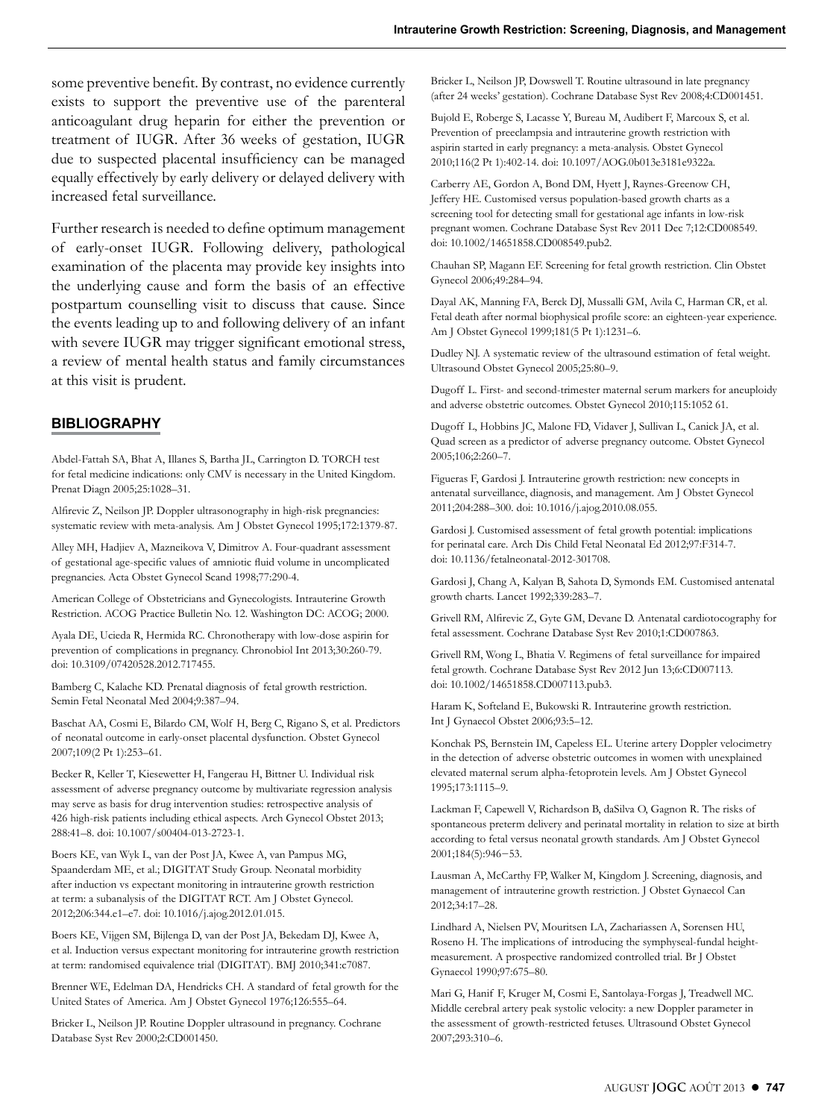some preventive benefit. By contrast, no evidence currently exists to support the preventive use of the parenteral anticoagulant drug heparin for either the prevention or treatment of IUGR. After 36 weeks of gestation, IUGR due to suspected placental insufficiency can be managed equally effectively by early delivery or delayed delivery with increased fetal surveillance.

Further research is needed to define optimum management of early-onset IUGR. Following delivery, pathological examination of the placenta may provide key insights into the underlying cause and form the basis of an effective postpartum counselling visit to discuss that cause. Since the events leading up to and following delivery of an infant with severe IUGR may trigger significant emotional stress, a review of mental health status and family circumstances at this visit is prudent.

#### **BIBLIOGRAPHY**

Abdel-Fattah SA, Bhat A, Illanes S, Bartha JL, Carrington D. TORCH test for fetal medicine indications: only CMV is necessary in the United Kingdom. Prenat Diagn 2005;25:1028–31.

Alfirevic Z, Neilson JP. Doppler ultrasonography in high-risk pregnancies: systematic review with meta-analysis. Am J Obstet Gynecol 1995;172:1379-87.

Alley MH, Hadjiev A, Mazneikova V, Dimitrov A. Four-quadrant assessment of gestational age-specific values of amniotic fluid volume in uncomplicated pregnancies. Acta Obstet Gynecol Scand 1998;77:290-4.

American College of Obstetricians and Gynecologists. Intrauterine Growth Restriction. ACOG Practice Bulletin No. 12. Washington DC: ACOG; 2000.

Ayala DE, Ucieda R, Hermida RC. Chronotherapy with low-dose aspirin for prevention of complications in pregnancy. Chronobiol Int 2013;30:260-79. doi: 10.3109/07420528.2012.717455.

Bamberg C, Kalache KD. Prenatal diagnosis of fetal growth restriction. Semin Fetal Neonatal Med 2004;9:387–94.

Baschat AA, Cosmi E, Bilardo CM, Wolf H, Berg C, Rigano S, et al. Predictors of neonatal outcome in early-onset placental dysfunction. Obstet Gynecol 2007;109(2 Pt 1):253–61.

Becker R, Keller T, Kiesewetter H, Fangerau H, Bittner U. Individual risk assessment of adverse pregnancy outcome by multivariate regression analysis may serve as basis for drug intervention studies: retrospective analysis of 426 high-risk patients including ethical aspects. Arch Gynecol Obstet 2013; 288:41–8. doi: 10.1007/s00404-013-2723-1.

Boers KE, van Wyk L, van der Post JA, Kwee A, van Pampus MG, Spaanderdam ME, et al.; DIGITAT Study Group. Neonatal morbidity after induction vs expectant monitoring in intrauterine growth restriction at term: a subanalysis of the DIGITAT RCT. Am J Obstet Gynecol. 2012;206:344.e1–e7. doi: 10.1016/j.ajog.2012.01.015.

Boers KE, Vijgen SM, Bijlenga D, van der Post JA, Bekedam DJ, Kwee A, et al. Induction versus expectant monitoring for intrauterine growth restriction at term: randomised equivalence trial (DIGITAT). BMJ 2010;341:c7087.

Brenner WE, Edelman DA, Hendricks CH. A standard of fetal growth for the United States of America. Am J Obstet Gynecol 1976;126:555–64.

Bricker L, Neilson JP. Routine Doppler ultrasound in pregnancy. Cochrane Database Syst Rev 2000;2:CD001450.

Bricker L, Neilson JP, Dowswell T. Routine ultrasound in late pregnancy (after 24 weeks' gestation). Cochrane Database Syst Rev 2008;4:CD001451.

Bujold E, Roberge S, Lacasse Y, Bureau M, Audibert F, Marcoux S, et al. Prevention of preeclampsia and intrauterine growth restriction with aspirin started in early pregnancy: a meta-analysis. Obstet Gynecol 2010;116(2 Pt 1):402-14. doi: 10.1097/AOG.0b013e3181e9322a.

Carberry AE, Gordon A, Bond DM, Hyett J, Raynes-Greenow CH, Jeffery HE. Customised versus population-based growth charts as a screening tool for detecting small for gestational age infants in low-risk pregnant women. Cochrane Database Syst Rev 2011 Dec 7;12:CD008549. doi: 10.1002/14651858.CD008549.pub2.

Chauhan SP, Magann EF. Screening for fetal growth restriction. Clin Obstet Gynecol 2006;49:284–94.

Dayal AK, Manning FA, Berck DJ, Mussalli GM, Avila C, Harman CR, et al. Fetal death after normal biophysical profile score: an eighteen-year experience. Am J Obstet Gynecol 1999;181(5 Pt 1):1231–6.

Dudley NJ. A systematic review of the ultrasound estimation of fetal weight. Ultrasound Obstet Gynecol 2005;25:80–9.

Dugoff L. First- and second-trimester maternal serum markers for aneuploidy and adverse obstetric outcomes. Obstet Gynecol 2010;115:1052 61.

Dugoff L, Hobbins JC, Malone FD, Vidaver J, Sullivan L, Canick JA, et al. Quad screen as a predictor of adverse pregnancy outcome. Obstet Gynecol 2005;106;2:260–7.

Figueras F, Gardosi J. Intrauterine growth restriction: new concepts in antenatal surveillance, diagnosis, and management. Am J Obstet Gynecol 2011;204:288–300. doi: 10.1016/j.ajog.2010.08.055.

Gardosi J. Customised assessment of fetal growth potential: implications for perinatal care. Arch Dis Child Fetal Neonatal Ed 2012;97:F314-7. doi: 10.1136/fetalneonatal-2012-301708.

Gardosi J, Chang A, Kalyan B, Sahota D, Symonds EM. Customised antenatal growth charts. Lancet 1992;339:283–7.

Grivell RM, Alfirevic Z, Gyte GM, Devane D. Antenatal cardiotocography for fetal assessment. Cochrane Database Syst Rev 2010;1:CD007863.

Grivell RM, Wong L, Bhatia V. Regimens of fetal surveillance for impaired fetal growth. Cochrane Database Syst Rev 2012 Jun 13;6:CD007113. doi: 10.1002/14651858.CD007113.pub3.

Haram K, Softeland E, Bukowski R. Intrauterine growth restriction. Int J Gynaecol Obstet 2006;93:5–12.

Konchak PS, Bernstein IM, Capeless EL. Uterine artery Doppler velocimetry in the detection of adverse obstetric outcomes in women with unexplained elevated maternal serum alpha-fetoprotein levels. Am J Obstet Gynecol 1995;173:1115–9.

Lackman F, Capewell V, Richardson B, daSilva O, Gagnon R. The risks of spontaneous preterm delivery and perinatal mortality in relation to size at birth according to fetal versus neonatal growth standards. Am J Obstet Gynecol 2001;184(5):946−53.

Lausman A, McCarthy FP, Walker M, Kingdom J. Screening, diagnosis, and management of intrauterine growth restriction. J Obstet Gynaecol Can 2012;34:17–28.

Lindhard A, Nielsen PV, Mouritsen LA, Zachariassen A, Sorensen HU, Roseno H. The implications of introducing the symphyseal-fundal heightmeasurement. A prospective randomized controlled trial. Br J Obstet Gynaecol 1990;97:675–80.

Mari G, Hanif F, Kruger M, Cosmi E, Santolaya-Forgas J, Treadwell MC. Middle cerebral artery peak systolic velocity: a new Doppler parameter in the assessment of growth-restricted fetuses. Ultrasound Obstet Gynecol 2007;293:310–6.